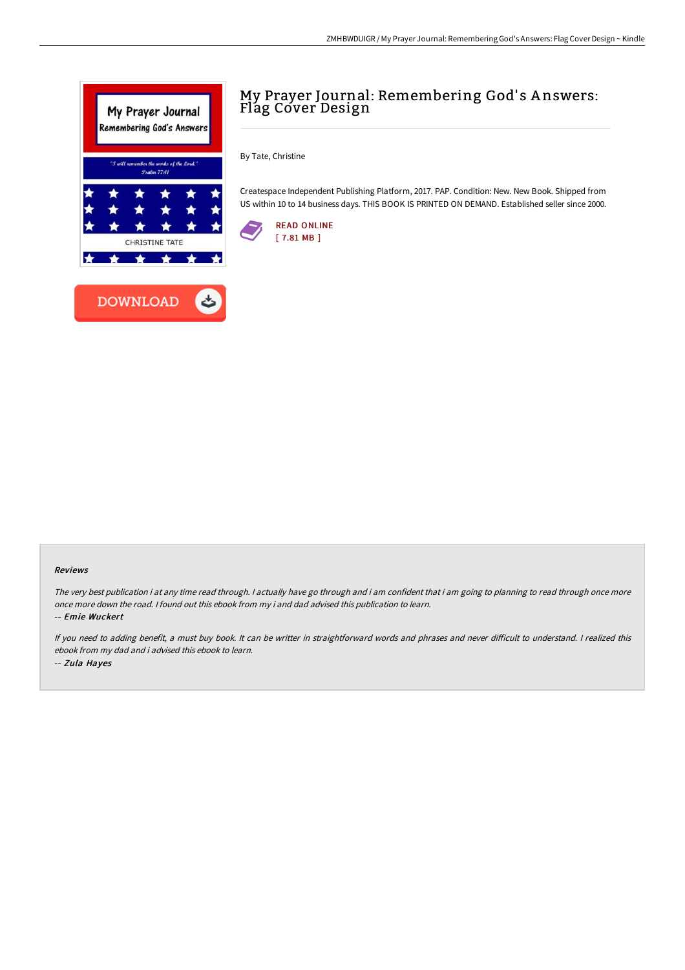

## My Prayer Journal: Remembering God's Answers: Flag Cover Design

By Tate, Christine

Createspace Independent Publishing Platform, 2017. PAP. Condition: New. New Book. Shipped from US within 10 to 14 business days. THIS BOOK IS PRINTED ON DEMAND. Established seller since 2000.



## Reviews

The very best publication i at any time read through. I actually have go through and i am confident that i am going to planning to read through once more once more down the road. I found out this ebook from my i and dad advised this publication to learn.

-- Emie Wuckert

If you need to adding benefit, a must buy book. It can be writter in straightforward words and phrases and never difficult to understand. I realized this ebook from my dad and i advised this ebook to learn. -- Zula Hayes